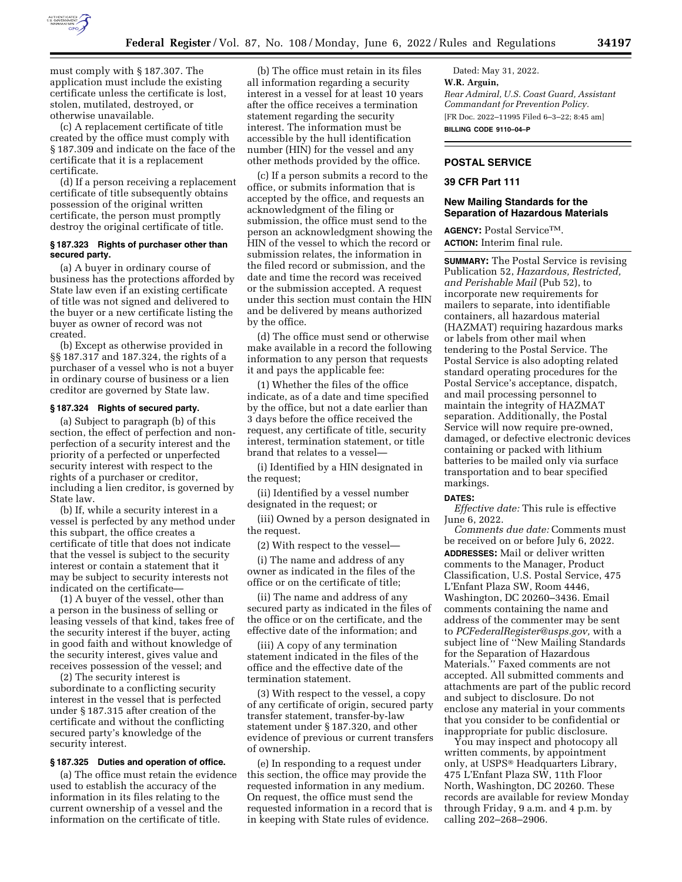

must comply with § 187.307. The application must include the existing certificate unless the certificate is lost, stolen, mutilated, destroyed, or otherwise unavailable.

(c) A replacement certificate of title created by the office must comply with § 187.309 and indicate on the face of the certificate that it is a replacement certificate.

(d) If a person receiving a replacement certificate of title subsequently obtains possession of the original written certificate, the person must promptly destroy the original certificate of title.

### **§ 187.323 Rights of purchaser other than secured party.**

(a) A buyer in ordinary course of business has the protections afforded by State law even if an existing certificate of title was not signed and delivered to the buyer or a new certificate listing the buyer as owner of record was not created.

(b) Except as otherwise provided in §§ 187.317 and 187.324, the rights of a purchaser of a vessel who is not a buyer in ordinary course of business or a lien creditor are governed by State law.

# **§ 187.324 Rights of secured party.**

(a) Subject to paragraph (b) of this section, the effect of perfection and nonperfection of a security interest and the priority of a perfected or unperfected security interest with respect to the rights of a purchaser or creditor, including a lien creditor, is governed by State law.

(b) If, while a security interest in a vessel is perfected by any method under this subpart, the office creates a certificate of title that does not indicate that the vessel is subject to the security interest or contain a statement that it may be subject to security interests not indicated on the certificate—

(1) A buyer of the vessel, other than a person in the business of selling or leasing vessels of that kind, takes free of the security interest if the buyer, acting in good faith and without knowledge of the security interest, gives value and receives possession of the vessel; and

(2) The security interest is subordinate to a conflicting security interest in the vessel that is perfected under § 187.315 after creation of the certificate and without the conflicting secured party's knowledge of the security interest.

#### **§ 187.325 Duties and operation of office.**

(a) The office must retain the evidence used to establish the accuracy of the information in its files relating to the current ownership of a vessel and the information on the certificate of title.

(b) The office must retain in its files all information regarding a security interest in a vessel for at least 10 years after the office receives a termination statement regarding the security interest. The information must be accessible by the hull identification number (HIN) for the vessel and any other methods provided by the office.

(c) If a person submits a record to the office, or submits information that is accepted by the office, and requests an acknowledgment of the filing or submission, the office must send to the person an acknowledgment showing the HIN of the vessel to which the record or submission relates, the information in the filed record or submission, and the date and time the record was received or the submission accepted. A request under this section must contain the HIN and be delivered by means authorized by the office.

(d) The office must send or otherwise make available in a record the following information to any person that requests it and pays the applicable fee:

(1) Whether the files of the office indicate, as of a date and time specified by the office, but not a date earlier than 3 days before the office received the request, any certificate of title, security interest, termination statement, or title brand that relates to a vessel—

(i) Identified by a HIN designated in the request;

(ii) Identified by a vessel number designated in the request; or

(iii) Owned by a person designated in the request.

(2) With respect to the vessel—

(i) The name and address of any owner as indicated in the files of the office or on the certificate of title;

(ii) The name and address of any secured party as indicated in the files of the office or on the certificate, and the effective date of the information; and

(iii) A copy of any termination statement indicated in the files of the office and the effective date of the termination statement.

(3) With respect to the vessel, a copy of any certificate of origin, secured party transfer statement, transfer-by-law statement under § 187.320, and other evidence of previous or current transfers of ownership.

(e) In responding to a request under this section, the office may provide the requested information in any medium. On request, the office must send the requested information in a record that is in keeping with State rules of evidence.

Dated: May 31, 2022. **W.R. Arguin,**  *Rear Admiral, U.S. Coast Guard, Assistant Commandant for Prevention Policy.*  [FR Doc. 2022–11995 Filed 6–3–22; 8:45 am] **BILLING CODE 9110–04–P** 

# **POSTAL SERVICE**

# **39 CFR Part 111**

# **New Mailing Standards for the Separation of Hazardous Materials**

**AGENCY:** Postal ServiceTM. **ACTION:** Interim final rule.

**SUMMARY:** The Postal Service is revising Publication 52, *Hazardous, Restricted, and Perishable Mail* (Pub 52), to incorporate new requirements for mailers to separate, into identifiable containers, all hazardous material (HAZMAT) requiring hazardous marks or labels from other mail when tendering to the Postal Service. The Postal Service is also adopting related standard operating procedures for the Postal Service's acceptance, dispatch, and mail processing personnel to maintain the integrity of HAZMAT separation. Additionally, the Postal Service will now require pre-owned, damaged, or defective electronic devices containing or packed with lithium batteries to be mailed only via surface transportation and to bear specified markings.

#### **DATES:**

*Effective date:* This rule is effective June 6, 2022.

*Comments due date:* Comments must be received on or before July 6, 2022. **ADDRESSES:** Mail or deliver written comments to the Manager, Product Classification, U.S. Postal Service, 475 L'Enfant Plaza SW, Room 4446, Washington, DC 20260–3436. Email comments containing the name and address of the commenter may be sent to *[PCFederalRegister@usps.gov,](mailto:PCFederalRegister@usps.gov)* with a subject line of ''New Mailing Standards for the Separation of Hazardous Materials.'' Faxed comments are not accepted. All submitted comments and attachments are part of the public record and subject to disclosure. Do not enclose any material in your comments that you consider to be confidential or inappropriate for public disclosure.

You may inspect and photocopy all written comments, by appointment only, at USPS® Headquarters Library, 475 L'Enfant Plaza SW, 11th Floor North, Washington, DC 20260. These records are available for review Monday through Friday, 9 a.m. and 4 p.m. by calling 202–268–2906.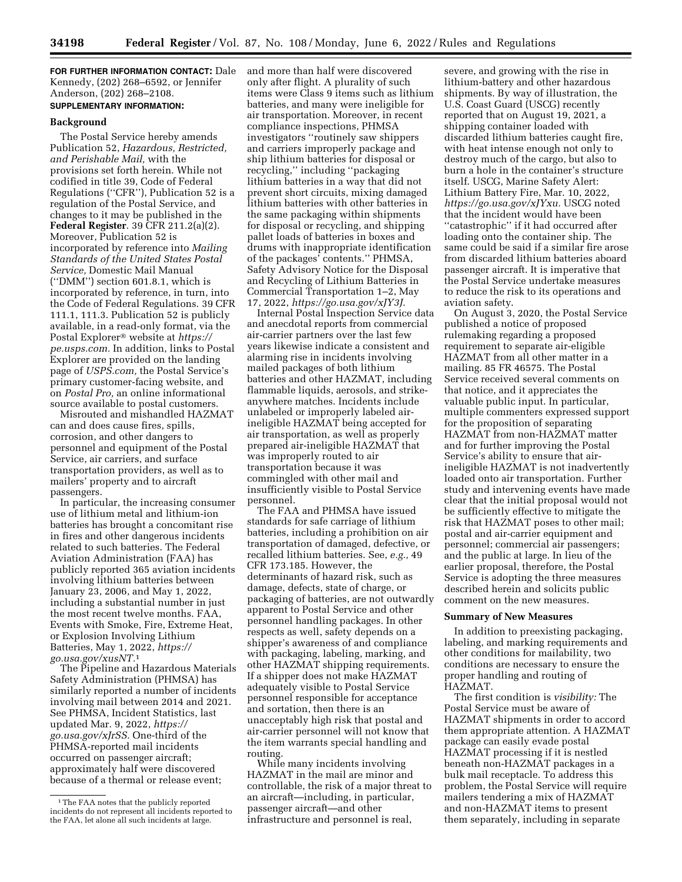**FOR FURTHER INFORMATION CONTACT:** Dale Kennedy, (202) 268–6592, or Jennifer Anderson, (202) 268–2108. **SUPPLEMENTARY INFORMATION:** 

# **Background**

The Postal Service hereby amends Publication 52, *Hazardous, Restricted, and Perishable Mail,* with the provisions set forth herein. While not codified in title 39, Code of Federal Regulations (''CFR''), Publication 52 is a regulation of the Postal Service, and changes to it may be published in the **Federal Register**. 39 CFR 211.2(a)(2). Moreover, Publication 52 is incorporated by reference into *Mailing Standards of the United States Postal Service,* Domestic Mail Manual (''DMM'') section 601.8.1, which is incorporated by reference, in turn, into the Code of Federal Regulations. 39 CFR 111.1, 111.3. Publication 52 is publicly available, in a read-only format, via the Postal Explorer® website at *[https://](https://pe.usps.com) [pe.usps.com.](https://pe.usps.com)* In addition, links to Postal Explorer are provided on the landing page of *USPS.com,* the Postal Service's primary customer-facing website, and on *Postal Pro,* an online informational source available to postal customers.

Misrouted and mishandled HAZMAT can and does cause fires, spills, corrosion, and other dangers to personnel and equipment of the Postal Service, air carriers, and surface transportation providers, as well as to mailers' property and to aircraft passengers.

In particular, the increasing consumer use of lithium metal and lithium-ion batteries has brought a concomitant rise in fires and other dangerous incidents related to such batteries. The Federal Aviation Administration (FAA) has publicly reported 365 aviation incidents involving lithium batteries between January 23, 2006, and May 1, 2022, including a substantial number in just the most recent twelve months. FAA, Events with Smoke, Fire, Extreme Heat, or Explosion Involving Lithium Batteries, May 1, 2022, *[https://](https://go.usa.gov/xusNT) [go.usa.gov/xusNT.](https://go.usa.gov/xusNT)*1

The Pipeline and Hazardous Materials Safety Administration (PHMSA) has similarly reported a number of incidents involving mail between 2014 and 2021. See PHMSA, Incident Statistics, last updated Mar. 9, 2022, *[https://](https://go.usa.gov/xJrSS) [go.usa.gov/xJrSS.](https://go.usa.gov/xJrSS)* One-third of the PHMSA-reported mail incidents occurred on passenger aircraft; approximately half were discovered because of a thermal or release event;

and more than half were discovered only after flight. A plurality of such items were Class 9 items such as lithium batteries, and many were ineligible for air transportation. Moreover, in recent compliance inspections, PHMSA investigators ''routinely saw shippers and carriers improperly package and ship lithium batteries for disposal or recycling,'' including ''packaging lithium batteries in a way that did not prevent short circuits, mixing damaged lithium batteries with other batteries in the same packaging within shipments for disposal or recycling, and shipping pallet loads of batteries in boxes and drums with inappropriate identification of the packages' contents.'' PHMSA, Safety Advisory Notice for the Disposal and Recycling of Lithium Batteries in Commercial Transportation 1–2, May 17, 2022, *[https://go.usa.gov/xJY3J.](https://go.usa.gov/xJY3J)* 

Internal Postal Inspection Service data and anecdotal reports from commercial air-carrier partners over the last few years likewise indicate a consistent and alarming rise in incidents involving mailed packages of both lithium batteries and other HAZMAT, including flammable liquids, aerosols, and strikeanywhere matches. Incidents include unlabeled or improperly labeled airineligible HAZMAT being accepted for air transportation, as well as properly prepared air-ineligible HAZMAT that was improperly routed to air transportation because it was commingled with other mail and insufficiently visible to Postal Service personnel.

The FAA and PHMSA have issued standards for safe carriage of lithium batteries, including a prohibition on air transportation of damaged, defective, or recalled lithium batteries. See, *e.g.,* 49 CFR 173.185. However, the determinants of hazard risk, such as damage, defects, state of charge, or packaging of batteries, are not outwardly apparent to Postal Service and other personnel handling packages. In other respects as well, safety depends on a shipper's awareness of and compliance with packaging, labeling, marking, and other HAZMAT shipping requirements. If a shipper does not make HAZMAT adequately visible to Postal Service personnel responsible for acceptance and sortation, then there is an unacceptably high risk that postal and air-carrier personnel will not know that the item warrants special handling and routing.

While many incidents involving HAZMAT in the mail are minor and controllable, the risk of a major threat to an aircraft—including, in particular, passenger aircraft—and other infrastructure and personnel is real,

severe, and growing with the rise in lithium-battery and other hazardous shipments. By way of illustration, the U.S. Coast Guard (USCG) recently reported that on August 19, 2021, a shipping container loaded with discarded lithium batteries caught fire, with heat intense enough not only to destroy much of the cargo, but also to burn a hole in the container's structure itself. USCG, Marine Safety Alert: Lithium Battery Fire, Mar. 10, 2022, *[https://go.usa.gov/xJYxu.](https://go.usa.gov/xJYxu)* USCG noted that the incident would have been ''catastrophic'' if it had occurred after loading onto the container ship. The same could be said if a similar fire arose from discarded lithium batteries aboard passenger aircraft. It is imperative that the Postal Service undertake measures to reduce the risk to its operations and aviation safety.

On August 3, 2020, the Postal Service published a notice of proposed rulemaking regarding a proposed requirement to separate air-eligible HAZMAT from all other matter in a mailing. 85 FR 46575. The Postal Service received several comments on that notice, and it appreciates the valuable public input. In particular, multiple commenters expressed support for the proposition of separating HAZMAT from non-HAZMAT matter and for further improving the Postal Service's ability to ensure that airineligible HAZMAT is not inadvertently loaded onto air transportation. Further study and intervening events have made clear that the initial proposal would not be sufficiently effective to mitigate the risk that HAZMAT poses to other mail; postal and air-carrier equipment and personnel; commercial air passengers; and the public at large. In lieu of the earlier proposal, therefore, the Postal Service is adopting the three measures described herein and solicits public comment on the new measures.

### **Summary of New Measures**

In addition to preexisting packaging, labeling, and marking requirements and other conditions for mailability, two conditions are necessary to ensure the proper handling and routing of HAZMAT.

The first condition is *visibility:* The Postal Service must be aware of HAZMAT shipments in order to accord them appropriate attention. A HAZMAT package can easily evade postal HAZMAT processing if it is nestled beneath non-HAZMAT packages in a bulk mail receptacle. To address this problem, the Postal Service will require mailers tendering a mix of HAZMAT and non-HAZMAT items to present them separately, including in separate

<sup>&</sup>lt;sup>1</sup>The FAA notes that the publicly reported incidents do not represent all incidents reported to the FAA, let alone all such incidents at large.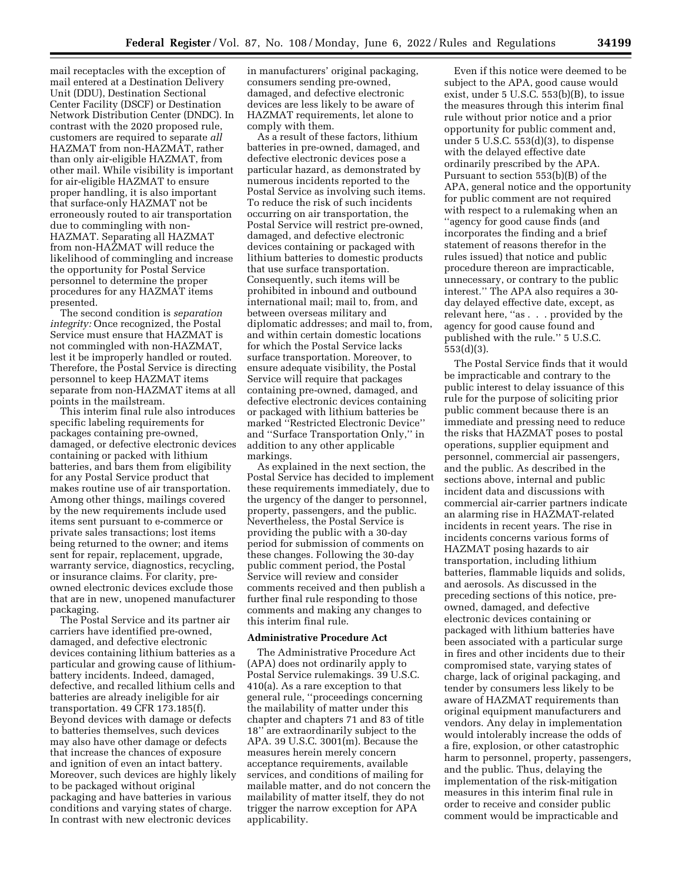mail receptacles with the exception of mail entered at a Destination Delivery Unit (DDU), Destination Sectional Center Facility (DSCF) or Destination Network Distribution Center (DNDC). In contrast with the 2020 proposed rule, customers are required to separate *all*  HAZMAT from non-HAZMAT, rather than only air-eligible HAZMAT, from other mail. While visibility is important for air-eligible HAZMAT to ensure proper handling, it is also important that surface-only HAZMAT not be erroneously routed to air transportation due to commingling with non-HAZMAT. Separating all HAZMAT from non-HAZMAT will reduce the likelihood of commingling and increase the opportunity for Postal Service personnel to determine the proper procedures for any HAZMAT items presented.

The second condition is *separation integrity:* Once recognized, the Postal Service must ensure that HAZMAT is not commingled with non-HAZMAT, lest it be improperly handled or routed. Therefore, the Postal Service is directing personnel to keep HAZMAT items separate from non-HAZMAT items at all points in the mailstream.

This interim final rule also introduces specific labeling requirements for packages containing pre-owned, damaged, or defective electronic devices containing or packed with lithium batteries, and bars them from eligibility for any Postal Service product that makes routine use of air transportation. Among other things, mailings covered by the new requirements include used items sent pursuant to e-commerce or private sales transactions; lost items being returned to the owner; and items sent for repair, replacement, upgrade, warranty service, diagnostics, recycling, or insurance claims. For clarity, preowned electronic devices exclude those that are in new, unopened manufacturer packaging.

The Postal Service and its partner air carriers have identified pre-owned, damaged, and defective electronic devices containing lithium batteries as a particular and growing cause of lithiumbattery incidents. Indeed, damaged, defective, and recalled lithium cells and batteries are already ineligible for air transportation. 49 CFR 173.185(f). Beyond devices with damage or defects to batteries themselves, such devices may also have other damage or defects that increase the chances of exposure and ignition of even an intact battery. Moreover, such devices are highly likely to be packaged without original packaging and have batteries in various conditions and varying states of charge. In contrast with new electronic devices

in manufacturers' original packaging, consumers sending pre-owned, damaged, and defective electronic devices are less likely to be aware of HAZMAT requirements, let alone to comply with them.

As a result of these factors, lithium batteries in pre-owned, damaged, and defective electronic devices pose a particular hazard, as demonstrated by numerous incidents reported to the Postal Service as involving such items. To reduce the risk of such incidents occurring on air transportation, the Postal Service will restrict pre-owned, damaged, and defective electronic devices containing or packaged with lithium batteries to domestic products that use surface transportation. Consequently, such items will be prohibited in inbound and outbound international mail; mail to, from, and between overseas military and diplomatic addresses; and mail to, from, and within certain domestic locations for which the Postal Service lacks surface transportation. Moreover, to ensure adequate visibility, the Postal Service will require that packages containing pre-owned, damaged, and defective electronic devices containing or packaged with lithium batteries be marked ''Restricted Electronic Device'' and ''Surface Transportation Only,'' in addition to any other applicable markings.

As explained in the next section, the Postal Service has decided to implement these requirements immediately, due to the urgency of the danger to personnel, property, passengers, and the public. Nevertheless, the Postal Service is providing the public with a 30-day period for submission of comments on these changes. Following the 30-day public comment period, the Postal Service will review and consider comments received and then publish a further final rule responding to those comments and making any changes to this interim final rule.

#### **Administrative Procedure Act**

The Administrative Procedure Act (APA) does not ordinarily apply to Postal Service rulemakings. 39 U.S.C. 410(a). As a rare exception to that general rule, ''proceedings concerning the mailability of matter under this chapter and chapters 71 and 83 of title 18'' are extraordinarily subject to the APA. 39 U.S.C. 3001(m). Because the measures herein merely concern acceptance requirements, available services, and conditions of mailing for mailable matter, and do not concern the mailability of matter itself, they do not trigger the narrow exception for APA applicability.

Even if this notice were deemed to be subject to the APA, good cause would exist, under 5 U.S.C. 553(b)(B), to issue the measures through this interim final rule without prior notice and a prior opportunity for public comment and, under 5 U.S.C. 553(d)(3), to dispense with the delayed effective date ordinarily prescribed by the APA. Pursuant to section 553(b)(B) of the APA, general notice and the opportunity for public comment are not required with respect to a rulemaking when an ''agency for good cause finds (and incorporates the finding and a brief statement of reasons therefor in the rules issued) that notice and public procedure thereon are impracticable, unnecessary, or contrary to the public interest.'' The APA also requires a 30 day delayed effective date, except, as relevant here, ''as . . . provided by the agency for good cause found and published with the rule.'' 5 U.S.C. 553(d)(3).

The Postal Service finds that it would be impracticable and contrary to the public interest to delay issuance of this rule for the purpose of soliciting prior public comment because there is an immediate and pressing need to reduce the risks that HAZMAT poses to postal operations, supplier equipment and personnel, commercial air passengers, and the public. As described in the sections above, internal and public incident data and discussions with commercial air-carrier partners indicate an alarming rise in HAZMAT-related incidents in recent years. The rise in incidents concerns various forms of HAZMAT posing hazards to air transportation, including lithium batteries, flammable liquids and solids, and aerosols. As discussed in the preceding sections of this notice, preowned, damaged, and defective electronic devices containing or packaged with lithium batteries have been associated with a particular surge in fires and other incidents due to their compromised state, varying states of charge, lack of original packaging, and tender by consumers less likely to be aware of HAZMAT requirements than original equipment manufacturers and vendors. Any delay in implementation would intolerably increase the odds of a fire, explosion, or other catastrophic harm to personnel, property, passengers, and the public. Thus, delaying the implementation of the risk-mitigation measures in this interim final rule in order to receive and consider public comment would be impracticable and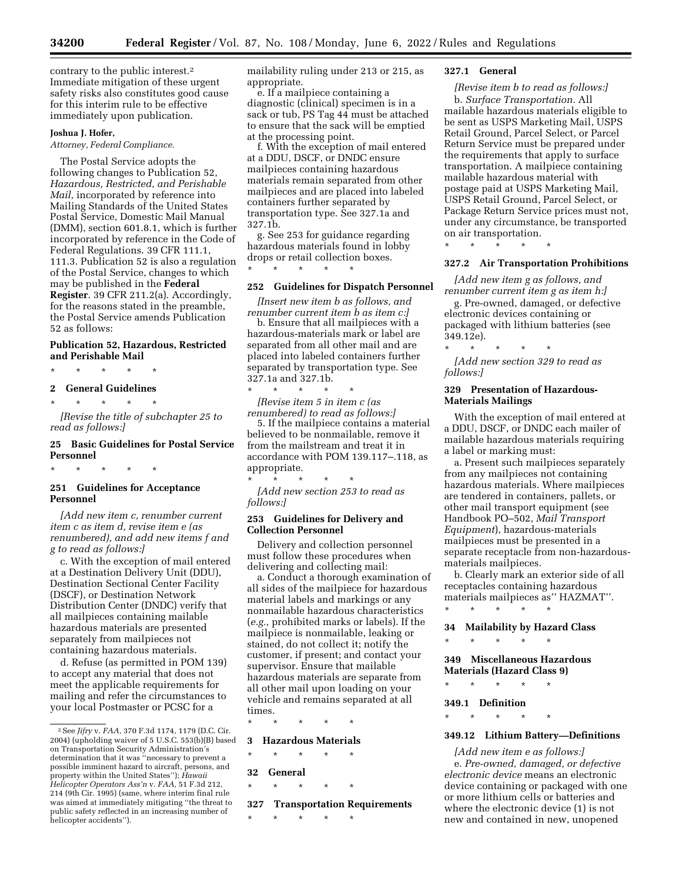contrary to the public interest.2 Immediate mitigation of these urgent safety risks also constitutes good cause for this interim rule to be effective immediately upon publication.

## **Joshua J. Hofer,**

*Attorney, Federal Compliance.* 

The Postal Service adopts the following changes to Publication 52, *Hazardous, Restricted, and Perishable Mail,* incorporated by reference into Mailing Standards of the United States Postal Service, Domestic Mail Manual (DMM), section 601.8.1, which is further incorporated by reference in the Code of Federal Regulations. 39 CFR 111.1, 111.3. Publication 52 is also a regulation of the Postal Service, changes to which may be published in the **Federal Register**. 39 CFR 211.2(a). Accordingly, for the reasons stated in the preamble, the Postal Service amends Publication 52 as follows:

# **Publication 52, Hazardous, Restricted and Perishable Mail**

\* \* \* \* \*

#### **2 General Guidelines**

\* \* \* \* \*

*[Revise the title of subchapter 25 to read as follows:]* 

### **25 Basic Guidelines for Postal Service Personnel**

\* \* \* \* \*

# **251 Guidelines for Acceptance Personnel**

*[Add new item c, renumber current item c as item d, revise item e (as renumbered), and add new items f and g to read as follows:]* 

c. With the exception of mail entered at a Destination Delivery Unit (DDU), Destination Sectional Center Facility (DSCF), or Destination Network Distribution Center (DNDC) verify that all mailpieces containing mailable hazardous materials are presented separately from mailpieces not containing hazardous materials.

d. Refuse (as permitted in POM 139) to accept any material that does not meet the applicable requirements for mailing and refer the circumstances to your local Postmaster or PCSC for a

mailability ruling under 213 or 215, as appropriate.

e. If a mailpiece containing a diagnostic (clinical) specimen is in a sack or tub, PS Tag 44 must be attached to ensure that the sack will be emptied at the processing point.

f. With the exception of mail entered at a DDU, DSCF, or DNDC ensure mailpieces containing hazardous materials remain separated from other mailpieces and are placed into labeled containers further separated by transportation type. See 327.1a and 327.1b.

g. See 253 for guidance regarding hazardous materials found in lobby drops or retail collection boxes. \* \* \* \* \*

### **252 Guidelines for Dispatch Personnel**

*[Insert new item b as follows, and renumber current item b as item c:]* 

b. Ensure that all mailpieces with a hazardous-materials mark or label are separated from all other mail and are placed into labeled containers further separated by transportation type. See 327.1a and 327.1b.

\* \* \* \* \* *[Revise item 5 in item c (as renumbered) to read as follows:]* 

5. If the mailpiece contains a material believed to be nonmailable, remove it from the mailstream and treat it in accordance with POM 139.117–.118, as appropriate.

\* \* \* \* \* *[Add new section 253 to read as follows:]* 

### **253 Guidelines for Delivery and Collection Personnel**

Delivery and collection personnel must follow these procedures when delivering and collecting mail:

a. Conduct a thorough examination of all sides of the mailpiece for hazardous material labels and markings or any nonmailable hazardous characteristics (*e.g.,* prohibited marks or labels). If the mailpiece is nonmailable, leaking or stained, do not collect it; notify the customer, if present; and contact your supervisor. Ensure that mailable hazardous materials are separate from all other mail upon loading on your vehicle and remains separated at all times.

\* \* \* \* \*

### **3 Hazardous Materials**

\* \* \* \* \*

**32 General** 

\* \* \* \* \*

**327 Transportation Requirements** 

\* \* \* \* \*

# **327.1 General**

*[Revise item b to read as follows:]*  b. *Surface Transportation.* All mailable hazardous materials eligible to be sent as USPS Marketing Mail, USPS Retail Ground, Parcel Select, or Parcel Return Service must be prepared under the requirements that apply to surface transportation. A mailpiece containing mailable hazardous material with postage paid at USPS Marketing Mail, USPS Retail Ground, Parcel Select, or Package Return Service prices must not, under any circumstance, be transported on air transportation.

\* \* \* \* \*

# **327.2 Air Transportation Prohibitions**

*[Add new item g as follows, and renumber current item g as item h:]* 

g. Pre-owned, damaged, or defective electronic devices containing or packaged with lithium batteries (see 349.12e).

\* \* \* \* \* *[Add new section 329 to read as follows:]* 

### **329 Presentation of Hazardous-Materials Mailings**

With the exception of mail entered at a DDU, DSCF, or DNDC each mailer of mailable hazardous materials requiring a label or marking must:

a. Present such mailpieces separately from any mailpieces not containing hazardous materials. Where mailpieces are tendered in containers, pallets, or other mail transport equipment (see Handbook PO–502, *Mail Transport Equipment*), hazardous-materials mailpieces must be presented in a separate receptacle from non-hazardousmaterials mailpieces.

b. Clearly mark an exterior side of all receptacles containing hazardous materials mailpieces as'' HAZMAT''. \* \* \* \* \*

**34 Mailability by Hazard Class** 

\* \* \* \* \*

# **349 Miscellaneous Hazardous Materials (Hazard Class 9)**

\* \* \* \* \*

**349.1 Definition** 

\* \* \* \* \*

#### **349.12 Lithium Battery—Definitions**

*[Add new item e as follows:]*  e. *Pre-owned, damaged, or defective electronic device* means an electronic device containing or packaged with one or more lithium cells or batteries and where the electronic device (1) is not new and contained in new, unopened

<sup>2</sup>See *Jifry* v. *FAA,* 370 F.3d 1174, 1179 (D.C. Cir. 2004) (upholding waiver of 5 U.S.C. 553(b)(B) based on Transportation Security Administration's determination that it was ''necessary to prevent a possible imminent hazard to aircraft, persons, and property within the United States''); *Hawaii Helicopter Operators Ass'n* v. *FAA,* 51 F.3d 212, 214 (9th Cir. 1995) (same, where interim final rule was aimed at immediately mitigating ''the threat to public safety reflected in an increasing number of helicopter accidents'').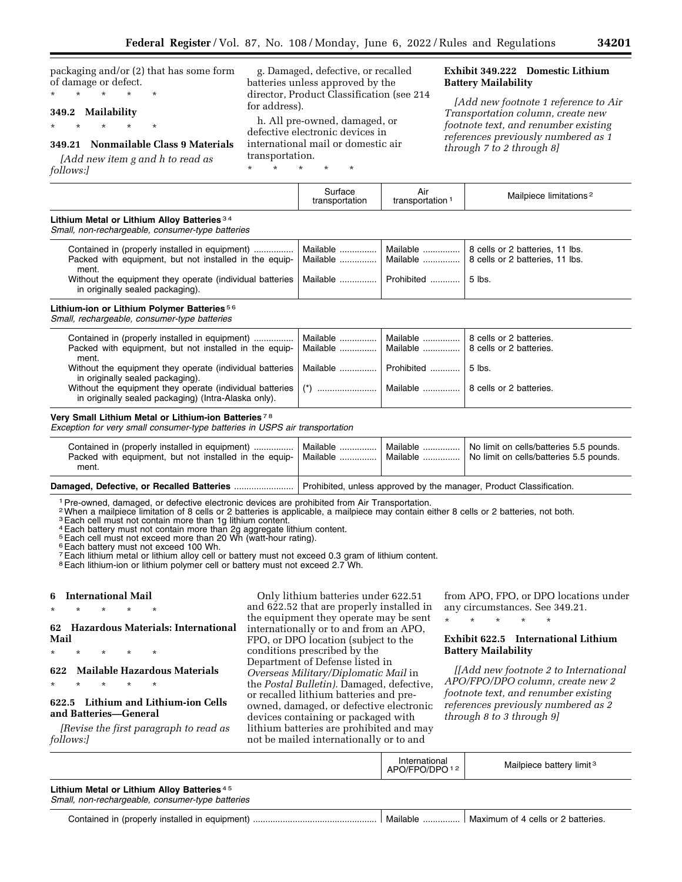packaging and/or (2) that has some form of damage or defect. \* \* \* \* \*

### **349.2 Mailability**

\* \* \* \* \*

# **349.21 Nonmailable Class 9 Materials**

*[Add new item g and h to read as follows:]* 

g. Damaged, defective, or recalled batteries unless approved by the director, Product Classification (see 214 for address).

h. All pre-owned, damaged, or defective electronic devices in international mail or domestic air transportation.

\* \* \* \* \*

# **Exhibit 349.222 Domestic Lithium Battery Mailability**

*[Add new footnote 1 reference to Air Transportation column, create new footnote text, and renumber existing references previously numbered as 1 through 7 to 2 through 8]* 

|                                                                                                                                                                               | Surface<br>transportation           | Air<br>transportation <sup>1</sup> | Mailpiece limitations <sup>2</sup>                                             |
|-------------------------------------------------------------------------------------------------------------------------------------------------------------------------------|-------------------------------------|------------------------------------|--------------------------------------------------------------------------------|
| Lithium Metal or Lithium Alloy Batteries 34<br>Small, non-rechargeable, consumer-type batteries                                                                               |                                     |                                    |                                                                                |
| Contained in (properly installed in equipment)<br>Packed with equipment, but not installed in the equip-<br>ment.<br>Without the equipment they operate (individual batteries | Mailable<br>Mailable   <br>Mailable | Mailable<br>Mailable<br>Prohibited | 8 cells or 2 batteries, 11 lbs.<br>8 cells or 2 batteries, 11 lbs.<br>$5$ lbs. |
| in originally sealed packaging).<br>Lithium-ion or Lithium Polymer Batteries <sup>56</sup><br>Small, rechargeable, consumer-type batteries                                    |                                     |                                    |                                                                                |
|                                                                                                                                                                               |                                     |                                    |                                                                                |
| Contained in (properly installed in equipment)<br>Packed with equipment, but not installed in the equip-<br>ment.                                                             | Mailable<br>Mailable                | Mailable<br>Mailable               | 8 cells or 2 batteries.<br>8 cells or 2 batteries.                             |
| Without the equipment they operate (individual batteries<br>in originally sealed packaging).                                                                                  | Mailable  I                         | Prohibited                         | 5 lbs.                                                                         |
| Without the equipment they operate (individual batteries<br>in originally sealed packaging) (Intra-Alaska only).                                                              |                                     | Mailable                           | 8 cells or 2 batteries.                                                        |

*Exception for very small consumer-type batteries in USPS air transportation* 

|                                                                                                                   | Damaged, Defective, or Recalled Batteries    Prohibited, unless approved by the manager, Product Classification. |                                 |                                                                                    |
|-------------------------------------------------------------------------------------------------------------------|------------------------------------------------------------------------------------------------------------------|---------------------------------|------------------------------------------------------------------------------------|
| Contained in (properly installed in equipment)<br>Packed with equipment, but not installed in the equip-<br>ment. | Mailable<br>Mailable                                                                                             | Mailable $\ldots$<br>  Mailable | No limit on cells/batteries 5.5 pounds.<br>No limit on cells/batteries 5.5 pounds. |

1Pre-owned, damaged, or defective electronic devices are prohibited from Air Transportation.

2When a mailpiece limitation of 8 cells or 2 batteries is applicable, a mailpiece may contain either 8 cells or 2 batteries, not both.

<sup>3</sup> Each cell must not contain more than 1g lithium content. 4Each battery must not contain more than 2g aggregate lithium content.

5Each cell must not exceed more than 20 Wh (watt-hour rating).

<sup>6</sup> Each battery must not exceed 100 Wh.

7Each lithium metal or lithium alloy cell or battery must not exceed 0.3 gram of lithium content.

<sup>8</sup> Each lithium-ion or lithium polymer cell or battery must not exceed 2.7 Wh.

# **6 International Mail**

\* \* \* \* \* **62 Hazardous Materials: International Mail** 

\* \* \* \* \*

\* \* \* \* \*

**622 Mailable Hazardous Materials** 

# **622.5 Lithium and Lithium-ion Cells and Batteries—General**

*[Revise the first paragraph to read as follows:]* 

Only lithium batteries under 622.51 and 622.52 that are properly installed in the equipment they operate may be sent internationally or to and from an APO, FPO, or DPO location (subject to the conditions prescribed by the Department of Defense listed in *Overseas Military/Diplomatic Mail* in the *Postal Bulletin).* Damaged, defective, or recalled lithium batteries and preowned, damaged, or defective electronic devices containing or packaged with lithium batteries are prohibited and may not be mailed internationally or to and

from APO, FPO, or DPO locations under any circumstances. See 349.21.

\* \* \* \* \*

# **Exhibit 622.5 International Lithium Battery Mailability**

*[[Add new footnote 2 to International APO/FPO/DPO column, create new 2 footnote text, and renumber existing references previously numbered as 2 through 8 to 3 through 9]* 

|                                                                                                 | International<br>APO/FPO/DPO12 | Mailpiece battery limit <sup>3</sup> |
|-------------------------------------------------------------------------------------------------|--------------------------------|--------------------------------------|
| Lithium Metal or Lithium Alloy Batteries 45<br>Small, non-rechargeable, consumer-type batteries |                                |                                      |
|                                                                                                 | Mailable                       | Maximum of 4 cells or 2 batteries.   |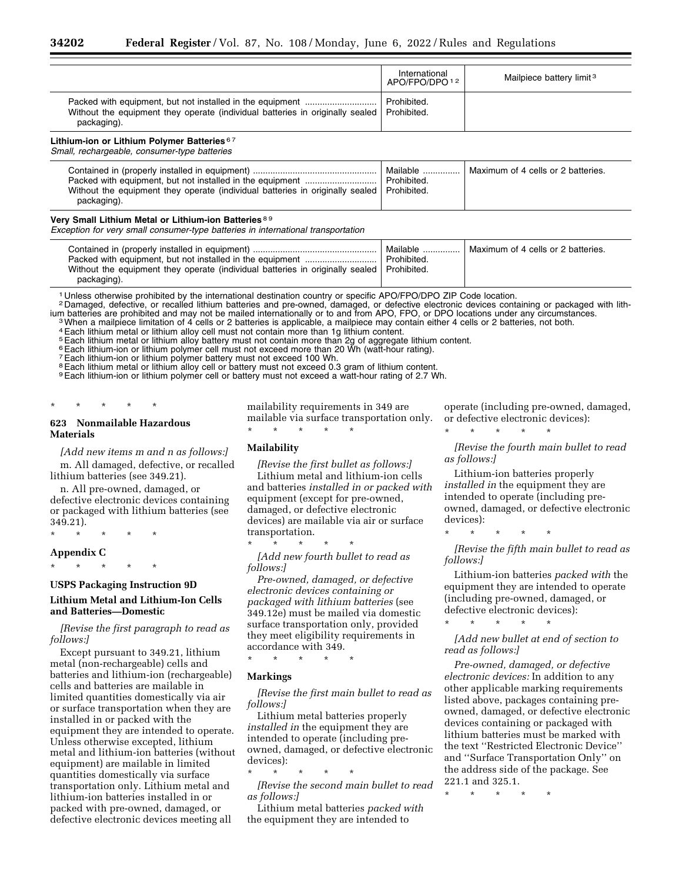|                                                                                              | International<br>APO/FPO/DPO <sup>12</sup> | Mailpiece battery limit <sup>3</sup> |
|----------------------------------------------------------------------------------------------|--------------------------------------------|--------------------------------------|
| Without the equipment they operate (individual batteries in originally sealed<br>packaging). | Prohibited.<br>Prohibited.                 |                                      |

### **Lithium-ion or Lithium Polymer Batteries** 6 7

*Small, rechargeable, consumer-type batteries* 

| Without the equipment they operate (individual batteries in originally sealed   Prohibited.<br>packaging). | Mailable<br>Prohibited. | Maximum of 4 cells or 2 batteries. |
|------------------------------------------------------------------------------------------------------------|-------------------------|------------------------------------|
|------------------------------------------------------------------------------------------------------------|-------------------------|------------------------------------|

#### **Very Small Lithium Metal or Lithium-ion Batteries** 8 9

*Exception for very small consumer-type batteries in international transportation* 

1 Unless otherwise prohibited by the international destination country or specific APO/FPO/DPO ZIP Code location.

2 Damaged, defective, or recalled lithium batteries and pre-owned, damaged, or defective electronic devices containing or packaged with lith-<br>ium batteries are prohibited and may not be mailed internationally or to and fro

<sup>3</sup>When a mailpiece limitation of 4 cells or 2 batteries is applicable, a mailpiece may contain either 4 cells or 2 batteries, not both.

4Each lithium metal or lithium alloy cell must not contain more than 1g lithium content.

5Each lithium metal or lithium alloy battery must not contain more than 2g of aggregate lithium content.

6Each lithium-ion or lithium polymer cell must not exceed more than 20 Wh (watt-hour rating).

7Each lithium-ion or lithium polymer battery must not exceed 100 Wh.

<sup>8</sup> Each lithium metal or lithium alloy cell or battery must not exceed 0.3 gram of lithium content.

9Each lithium-ion or lithium polymer cell or battery must not exceed a watt-hour rating of 2.7 Wh.

# \* \* \* \* \*

# **623 Nonmailable Hazardous Materials**

*[Add new items m and n as follows:]*  m. All damaged, defective, or recalled lithium batteries (see 349.21).

n. All pre-owned, damaged, or defective electronic devices containing or packaged with lithium batteries (see 349.21).

\* \* \* \* \*

#### **Appendix C**

\* \* \* \* \*

#### **USPS Packaging Instruction 9D**

### **Lithium Metal and Lithium-Ion Cells and Batteries—Domestic**

*[Revise the first paragraph to read as follows:]* 

Except pursuant to 349.21, lithium metal (non-rechargeable) cells and batteries and lithium-ion (rechargeable) cells and batteries are mailable in limited quantities domestically via air or surface transportation when they are installed in or packed with the equipment they are intended to operate. Unless otherwise excepted, lithium metal and lithium-ion batteries (without equipment) are mailable in limited quantities domestically via surface transportation only. Lithium metal and lithium-ion batteries installed in or packed with pre-owned, damaged, or defective electronic devices meeting all

mailability requirements in 349 are mailable via surface transportation only.

#### **Mailability**

\* \* \* \* \*

*[Revise the first bullet as follows:]* 

Lithium metal and lithium-ion cells and batteries *installed in or packed with*  equipment (except for pre-owned, damaged, or defective electronic devices) are mailable via air or surface transportation.

\* \* \* \* \* *[Add new fourth bullet to read as follows:]* 

*Pre-owned, damaged, or defective electronic devices containing or packaged with lithium batteries* (see 349.12e) must be mailed via domestic surface transportation only, provided they meet eligibility requirements in accordance with 349.

\* \* \* \* \*

## **Markings**

*[Revise the first main bullet to read as follows:]* 

Lithium metal batteries properly *installed in* the equipment they are intended to operate (including preowned, damaged, or defective electronic devices):

\* \* \* \* \* *[Revise the second main bullet to read as follows:]* 

Lithium metal batteries *packed with*  the equipment they are intended to

operate (including pre-owned, damaged, or defective electronic devices):

\* \* \* \* \*

*[Revise the fourth main bullet to read as follows:]* 

Lithium-ion batteries properly *installed in* the equipment they are intended to operate (including preowned, damaged, or defective electronic devices):

\* \* \* \* \*

*[Revise the fifth main bullet to read as follows:]* 

Lithium-ion batteries *packed with* the equipment they are intended to operate (including pre-owned, damaged, or defective electronic devices):

\* \* \* \* \*

*[Add new bullet at end of section to read as follows:]* 

*Pre-owned, damaged, or defective electronic devices:* In addition to any other applicable marking requirements listed above, packages containing preowned, damaged, or defective electronic devices containing or packaged with lithium batteries must be marked with the text ''Restricted Electronic Device'' and ''Surface Transportation Only'' on the address side of the package. See 221.1 and 325.1.

\* \* \* \* \*